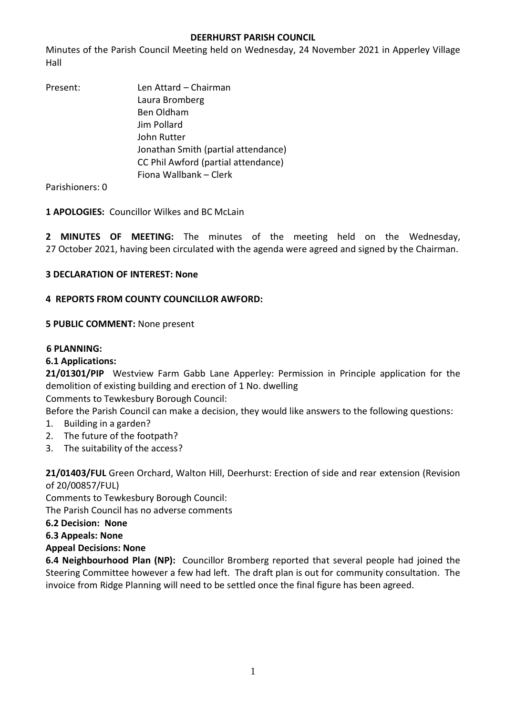### **DEERHURST PARISH COUNCIL**

Minutes of the Parish Council Meeting held on Wednesday, 24 November 2021 in Apperley Village Hall

| Present: | Len Attard - Chairman               |
|----------|-------------------------------------|
|          | Laura Bromberg                      |
|          | Ben Oldham                          |
|          | Jim Pollard                         |
|          | John Rutter                         |
|          | Jonathan Smith (partial attendance) |
|          | CC Phil Awford (partial attendance) |
|          | Fiona Wallbank - Clerk              |
|          |                                     |

Parishioners: 0

**1 APOLOGIES:** Councillor Wilkes and BC McLain

**2 MINUTES OF MEETING:** The minutes of the meeting held on the Wednesday, 27 October 2021, having been circulated with the agenda were agreed and signed by the Chairman.

### **3 DECLARATION OF INTEREST: None**

### **4 REPORTS FROM COUNTY COUNCILLOR AWFORD:**

### **5 PUBLIC COMMENT:** None present

### **6 PLANNING:**

# **6.1 Applications:**

**21/01301/PIP** Westview Farm Gabb Lane Apperley: Permission in Principle application for the demolition of existing building and erection of 1 No. dwelling

Comments to Tewkesbury Borough Council: Before the Parish Council can make a decision, they would like answers to the following questions:

- 1. Building in a garden?
- 2. The future of the footpath?
- 3. The suitability of the access?

**21/01403/FUL** Green Orchard, Walton Hill, Deerhurst: Erection of side and rear extension (Revision of 20/00857/FUL)

Comments to Tewkesbury Borough Council:

The Parish Council has no adverse comments

#### **6.2 Decision: None**

# **6.3 Appeals: None**

# **Appeal Decisions: None**

**6.4 Neighbourhood Plan (NP):** Councillor Bromberg reported that several people had joined the Steering Committee however a few had left. The draft plan is out for community consultation. The invoice from Ridge Planning will need to be settled once the final figure has been agreed.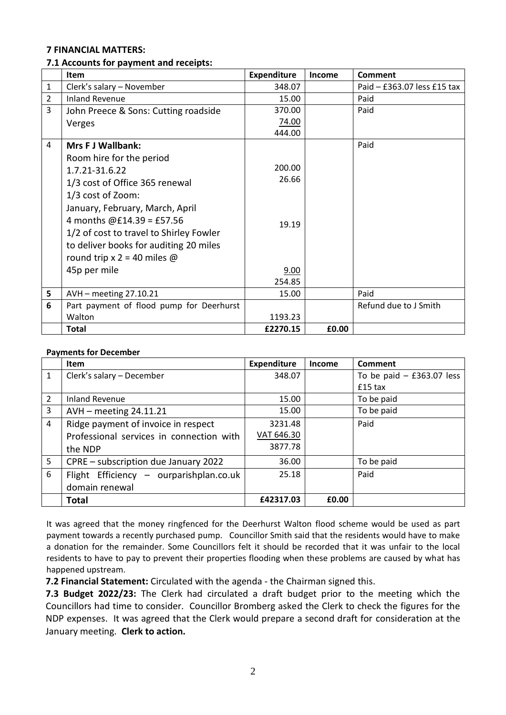### **7 FINANCIAL MATTERS:**

## **7.1 Accounts for payment and receipts:**

|                | <b>Item</b>                              | <b>Expenditure</b> | <b>Income</b> | Comment                     |
|----------------|------------------------------------------|--------------------|---------------|-----------------------------|
| 1              | Clerk's salary - November                | 348.07             |               | Paid - £363.07 less £15 tax |
| $\overline{2}$ | <b>Inland Revenue</b>                    | 15.00              |               | Paid                        |
| 3              | John Preece & Sons: Cutting roadside     | 370.00             |               | Paid                        |
|                | Verges                                   | 74.00              |               |                             |
|                |                                          | 444.00             |               |                             |
| 4              | <b>Mrs F J Wallbank:</b>                 |                    |               | Paid                        |
|                | Room hire for the period                 |                    |               |                             |
|                | 1.7.21-31.6.22                           | 200.00             |               |                             |
|                | 1/3 cost of Office 365 renewal           | 26.66              |               |                             |
|                | 1/3 cost of Zoom:                        |                    |               |                             |
|                | January, February, March, April          |                    |               |                             |
|                | 4 months $@E14.39 = £57.56$              | 19.19              |               |                             |
|                | 1/2 of cost to travel to Shirley Fowler  |                    |               |                             |
|                | to deliver books for auditing 20 miles   |                    |               |                             |
|                | round trip $x$ 2 = 40 miles $\omega$     |                    |               |                             |
|                | 45p per mile                             | 9.00               |               |                             |
|                |                                          | 254.85             |               |                             |
| 5              | AVH - meeting 27.10.21                   | 15.00              |               | Paid                        |
| 6              | Part payment of flood pump for Deerhurst |                    |               | Refund due to J Smith       |
|                | Walton                                   | 1193.23            |               |                             |
|                | <b>Total</b>                             | £2270.15           | £0.00         |                             |

#### **Payments for December**

|                | <b>Item</b>                              | <b>Expenditure</b> | <b>Income</b> | Comment                     |
|----------------|------------------------------------------|--------------------|---------------|-----------------------------|
| $\mathbf{1}$   | Clerk's salary - December                | 348.07             |               | To be paid $-$ £363.07 less |
|                |                                          |                    |               | $£15$ tax                   |
| $\overline{2}$ | <b>Inland Revenue</b>                    | 15.00              |               | To be paid                  |
| 3              | AVH - meeting 24.11.21                   | 15.00              |               | To be paid                  |
| $\overline{4}$ | Ridge payment of invoice in respect      | 3231.48            |               | Paid                        |
|                | Professional services in connection with | VAT 646.30         |               |                             |
|                | the NDP                                  | 3877.78            |               |                             |
| 5              | CPRE – subscription due January 2022     | 36.00              |               | To be paid                  |
| 6              | Flight Efficiency - ourparishplan.co.uk  | 25.18              |               | Paid                        |
|                | domain renewal                           |                    |               |                             |
|                | <b>Total</b>                             | £42317.03          | £0.00         |                             |

It was agreed that the money ringfenced for the Deerhurst Walton flood scheme would be used as part payment towards a recently purchased pump. Councillor Smith said that the residents would have to make a donation for the remainder. Some Councillors felt it should be recorded that it was unfair to the local residents to have to pay to prevent their properties flooding when these problems are caused by what has happened upstream.

**7.2 Financial Statement:** Circulated with the agenda - the Chairman signed this.

**7.3 Budget 2022/23:** The Clerk had circulated a draft budget prior to the meeting which the Councillors had time to consider. Councillor Bromberg asked the Clerk to check the figures for the NDP expenses. It was agreed that the Clerk would prepare a second draft for consideration at the January meeting. **Clerk to action.**